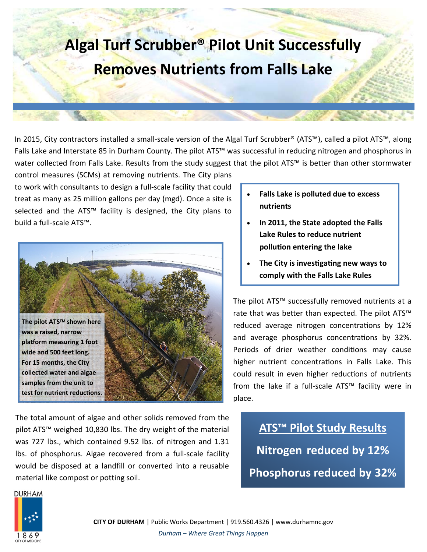

In 2015, City contractors installed a small‐scale version of the Algal Turf Scrubber® (ATS™), called a pilot ATS™, along Falls Lake and Interstate 85 in Durham County. The pilot ATS™ was successful in reducing nitrogen and phosphorus in water collected from Falls Lake. Results from the study suggest that the pilot ATS™ is better than other stormwater

control measures (SCMs) at removing nutrients. The City plans to work with consultants to design a full‐scale facility that could treat as many as 25 million gallons per day (mgd). Once a site is selected and the ATS<sup>™</sup> facility is designed, the City plans to build a full‐scale ATS™.



The total amount of algae and other solids removed from the pilot ATS™ weighed 10,830 lbs. The dry weight of the material was 727 lbs., which contained 9.52 lbs. of nitrogen and 1.31 lbs. of phosphorus. Algae recovered from a full‐scale facility would be disposed at a landfill or converted into a reusable material like compost or potting soil.

- **Falls Lake is polluted due to excess nutrients**
- **In 2011, the State adopted the Falls Lake Rules to reduce nutrient polluƟon entering the lake**
- **The City is invesƟgaƟng new ways to comply with the Falls Lake Rules**

The pilot ATS™ successfully removed nutrients at a rate that was better than expected. The pilot ATS<sup>™</sup> reduced average nitrogen concentrations by 12% and average phosphorus concentrations by 32%. Periods of drier weather conditions may cause higher nutrient concentrations in Falls Lake. This could result in even higher reductions of nutrients from the lake if a full‐scale ATS™ facility were in place.

## **ATS™ Pilot Study Results Nitrogen reduced by 12% Phosphorus reduced by 32%**

**DURHAM**